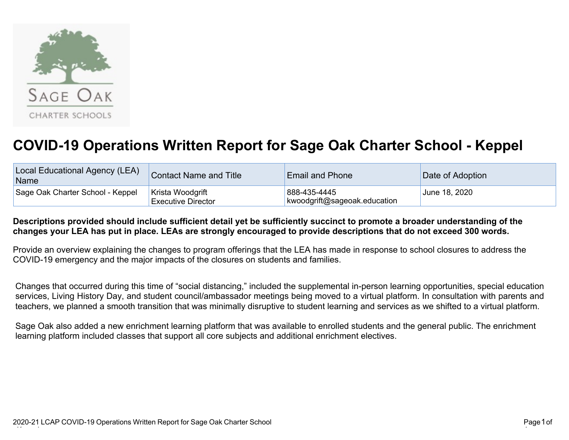

## **COVID-19 Operations Written Report for Sage Oak Charter School - Keppel**

| Local Educational Agency (LEA)<br>Name | <b>Contact Name and Title</b>                 | <b>Email and Phone</b>                       | Date of Adoption |
|----------------------------------------|-----------------------------------------------|----------------------------------------------|------------------|
| Sage Oak Charter School - Keppel       | Krista Woodgrift<br><b>Executive Director</b> | 888-435-4445<br>kwoodgrift@sageoak.education | June 18, 2020    |

## **Descriptions provided should include sufficient detail yet be sufficiently succinct to promote a broader understanding of the changes your LEA has put in place. LEAs are strongly encouraged to provide descriptions that do not exceed 300 words.**

Provide an overview explaining the changes to program offerings that the LEA has made in response to school closures to address the COVID-19 emergency and the major impacts of the closures on students and families.

Changes that occurred during this time of "social distancing," included the supplemental in-person learning opportunities, special education services, Living History Day, and student council/ambassador meetings being moved to a virtual platform. In consultation with parents and teachers, we planned a smooth transition that was minimally disruptive to student learning and services as we shifted to a virtual platform.

Sage Oak also added a new enrichment learning platform that was available to enrolled students and the general public. The enrichment learning platform included classes that support all core subjects and additional enrichment electives.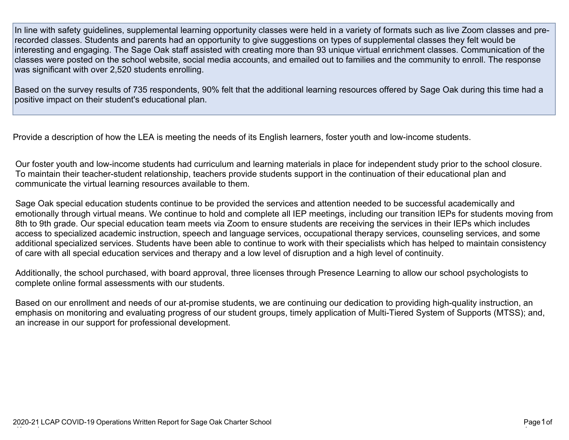In line with safety guidelines, supplemental learning opportunity classes were held in a variety of formats such as live Zoom classes and prerecorded classes. Students and parents had an opportunity to give suggestions on types of supplemental classes they felt would be interesting and engaging. The Sage Oak staff assisted with creating more than 93 unique virtual enrichment classes. Communication of the classes were posted on the school website, social media accounts, and emailed out to families and the community to enroll. The response was significant with over 2,520 students enrolling.

Based on the survey results of 735 respondents, 90% felt that the additional learning resources offered by Sage Oak during this time had a positive impact on their student's educational plan.

Provide a description of how the LEA is meeting the needs of its English learners, foster youth and low-income students.

Our foster youth and low-income students had curriculum and learning materials in place for independent study prior to the school closure. To maintain their teacher-student relationship, teachers provide students support in the continuation of their educational plan and communicate the virtual learning resources available to them.

Sage Oak special education students continue to be provided the services and attention needed to be successful academically and emotionally through virtual means. We continue to hold and complete all IEP meetings, including our transition IEPs for students moving from 8th to 9th grade. Our special education team meets via Zoom to ensure students are receiving the services in their IEPs which includes access to specialized academic instruction, speech and language services, occupational therapy services, counseling services, and some additional specialized services. Students have been able to continue to work with their specialists which has helped to maintain consistency of care with all special education services and therapy and a low level of disruption and a high level of continuity.

Additionally, the school purchased, with board approval, three licenses through Presence Learning to allow our school psychologists to complete online formal assessments with our students.

Based on our enrollment and needs of our at-promise students, we are continuing our dedication to providing high-quality instruction, an emphasis on monitoring and evaluating progress of our student groups, timely application of Multi-Tiered System of Supports (MTSS); and, an increase in our support for professional development.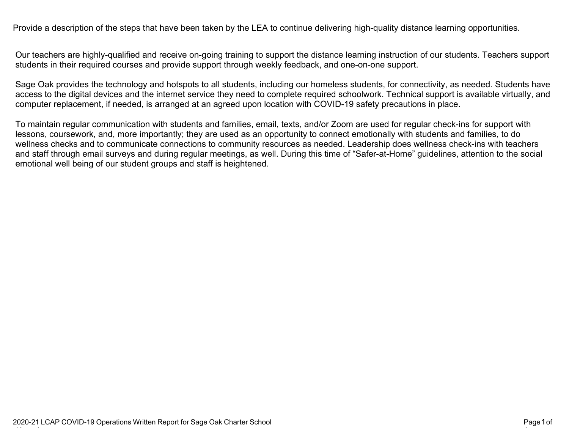Provide a description of the steps that have been taken by the LEA to continue delivering high-quality distance learning opportunities.

Our teachers are highly-qualified and receive on-going training to support the distance learning instruction of our students. Teachers support students in their required courses and provide support through weekly feedback, and one-on-one support.

Sage Oak provides the technology and hotspots to all students, including our homeless students, for connectivity, as needed. Students have access to the digital devices and the internet service they need to complete required schoolwork. Technical support is available virtually, and computer replacement, if needed, is arranged at an agreed upon location with COVID-19 safety precautions in place.

To maintain regular communication with students and families, email, texts, and/or Zoom are used for regular check-ins for support with lessons, coursework, and, more importantly; they are used as an opportunity to connect emotionally with students and families, to do wellness checks and to communicate connections to community resources as needed. Leadership does wellness check-ins with teachers and staff through email surveys and during regular meetings, as well. During this time of "Safer-at-Home" guidelines, attention to the social emotional well being of our student groups and staff is heightened.